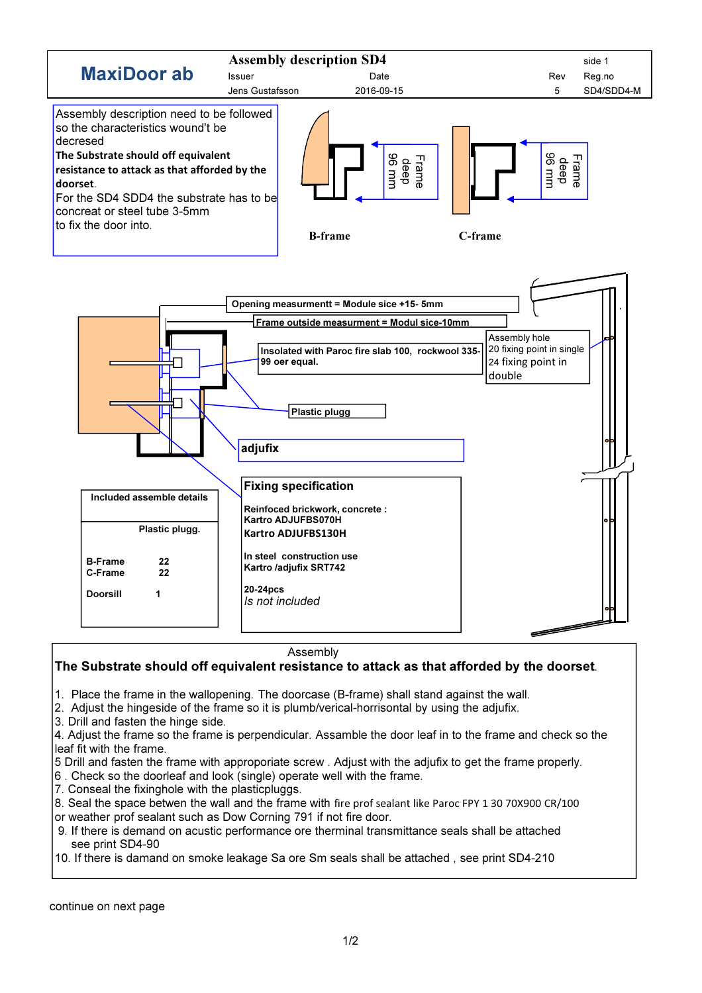

Assembly

## The Substrate should off equivalent resistance to attack as that afforded by the doorset.

1. Place the frame in the wallopening. The doorcase (B-frame) shall stand against the wall.

2. Adjust the hingeside of the frame so it is plumb/verical-horrisontal by using the adjufix.

3. Drill and fasten the hinge side.

4. Adjust the frame so the frame is perpendicular. Assamble the door leaf in to the frame and check so the leaf fit with the frame.

- 5 Drill and fasten the frame with approporiate screw . Adjust with the adjufix to get the frame properly.
- 6 . Check so the doorleaf and look (single) operate well with the frame.
- 7. Conseal the fixinghole with the plasticpluggs.
- 8. Seal the space betwen the wall and the frame with fire prof sealant like Paroc FPY 1 30 70X900 CR/100
- or weather prof sealant such as Dow Corning 791 if not fire door.
- 9. If there is demand on acustic performance ore therminal transmittance seals shall be attached see print SD4-90
- 10. If there is damand on smoke leakage Sa ore Sm seals shall be attached , see print SD4-210

continue on next page